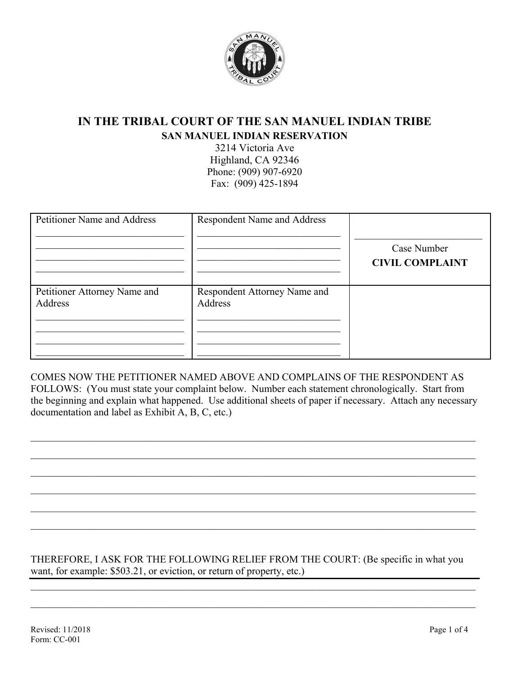

# **IN THE TRIBAL COURT OF THE SAN MANUEL INDIAN TRIBE SAN MANUEL INDIAN RESERVATION**

3214 Victoria Ave Highland, CA 92346 Phone: (909) 907-6920 Fax: (909) 425-1894

| <b>Petitioner Name and Address</b>      | <b>Respondent Name and Address</b>      | Case Number<br><b>CIVIL COMPLAINT</b> |
|-----------------------------------------|-----------------------------------------|---------------------------------------|
| Petitioner Attorney Name and<br>Address | Respondent Attorney Name and<br>Address |                                       |

COMES NOW THE PETITIONER NAMED ABOVE AND COMPLAINS OF THE RESPONDENT AS FOLLOWS: (You must state your complaint below. Number each statement chronologically. Start from the beginning and explain what happened. Use additional sheets of paper if necessary. Attach any necessary documentation and label as Exhibit A, B, C, etc.)

 $\mathcal{L}_\mathcal{L} = \mathcal{L}_\mathcal{L} = \mathcal{L}_\mathcal{L} = \mathcal{L}_\mathcal{L} = \mathcal{L}_\mathcal{L} = \mathcal{L}_\mathcal{L} = \mathcal{L}_\mathcal{L} = \mathcal{L}_\mathcal{L} = \mathcal{L}_\mathcal{L} = \mathcal{L}_\mathcal{L} = \mathcal{L}_\mathcal{L} = \mathcal{L}_\mathcal{L} = \mathcal{L}_\mathcal{L} = \mathcal{L}_\mathcal{L} = \mathcal{L}_\mathcal{L} = \mathcal{L}_\mathcal{L} = \mathcal{L}_\mathcal{L}$ 

\_\_\_\_\_\_\_\_\_\_\_\_\_\_\_\_\_\_\_\_\_\_\_\_\_\_\_\_\_\_\_\_\_\_\_\_\_\_\_\_\_\_\_\_\_\_\_\_\_\_\_\_\_\_\_\_\_\_\_\_\_\_\_\_\_\_\_\_\_\_\_\_\_\_\_\_\_\_\_\_\_\_\_\_\_\_\_

\_\_\_\_\_\_\_\_\_\_\_\_\_\_\_\_\_\_\_\_\_\_\_\_\_\_\_\_\_\_\_\_\_\_\_\_\_\_\_\_\_\_\_\_\_\_\_\_\_\_\_\_\_\_\_\_\_\_\_\_\_\_\_\_\_\_\_\_\_\_\_\_\_\_\_\_\_\_\_\_\_\_\_\_\_\_\_

\_\_\_\_\_\_\_\_\_\_\_\_\_\_\_\_\_\_\_\_\_\_\_\_\_\_\_\_\_\_\_\_\_\_\_\_\_\_\_\_\_\_\_\_\_\_\_\_\_\_\_\_\_\_\_\_\_\_\_\_\_\_\_\_\_\_\_\_\_\_\_\_\_\_\_\_\_\_\_\_\_\_\_\_\_\_\_

 $\_$  , and the set of the set of the set of the set of the set of the set of the set of the set of the set of the set of the set of the set of the set of the set of the set of the set of the set of the set of the set of th

THEREFORE, I ASK FOR THE FOLLOWING RELIEF FROM THE COURT: (Be specific in what you want, for example: \$503.21, or eviction, or return of property, etc.)

\_\_\_\_\_\_\_\_\_\_\_\_\_\_\_\_\_\_\_\_\_\_\_\_\_\_\_\_\_\_\_\_\_\_\_\_\_\_\_\_\_\_\_\_\_\_\_\_\_\_\_\_\_\_\_\_\_\_\_\_\_\_\_\_\_\_\_\_\_\_\_\_\_\_\_\_\_\_\_\_\_\_\_\_\_\_\_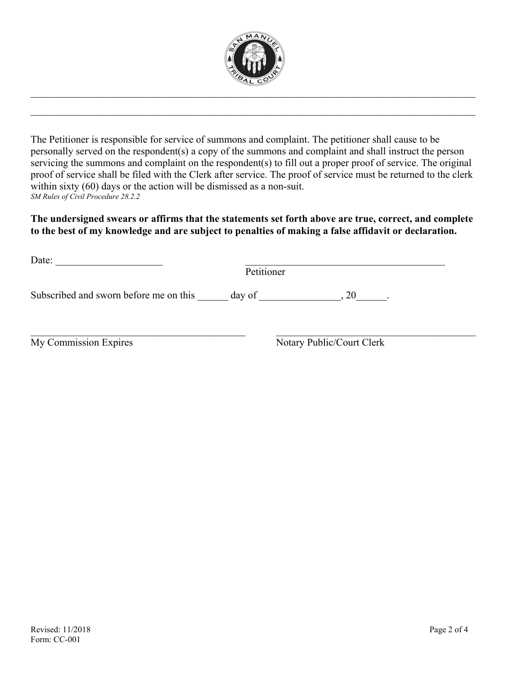

\_\_\_\_\_\_\_\_\_\_\_\_\_\_\_\_\_\_\_\_\_\_\_\_\_\_\_\_\_\_\_\_\_\_\_\_\_\_\_\_\_\_\_\_\_\_\_\_\_\_\_\_\_\_\_\_\_\_\_\_\_\_\_\_\_\_\_\_\_\_\_\_\_\_\_\_\_\_\_\_\_\_\_\_\_\_\_

The Petitioner is responsible for service of summons and complaint. The petitioner shall cause to be personally served on the respondent(s) a copy of the summons and complaint and shall instruct the person servicing the summons and complaint on the respondent(s) to fill out a proper proof of service. The original proof of service shall be filed with the Clerk after service. The proof of service must be returned to the clerk within sixty (60) days or the action will be dismissed as a non-suit. *SM Rules of Civil Procedure 28.2.2*

#### **The undersigned swears or affirms that the statements set forth above are true, correct, and complete to the best of my knowledge and are subject to penalties of making a false affidavit or declaration.**

| Date:                                  | Petitioner                |
|----------------------------------------|---------------------------|
| Subscribed and sworn before me on this | day of                    |
| My Commission Expires                  | Notary Public/Court Clerk |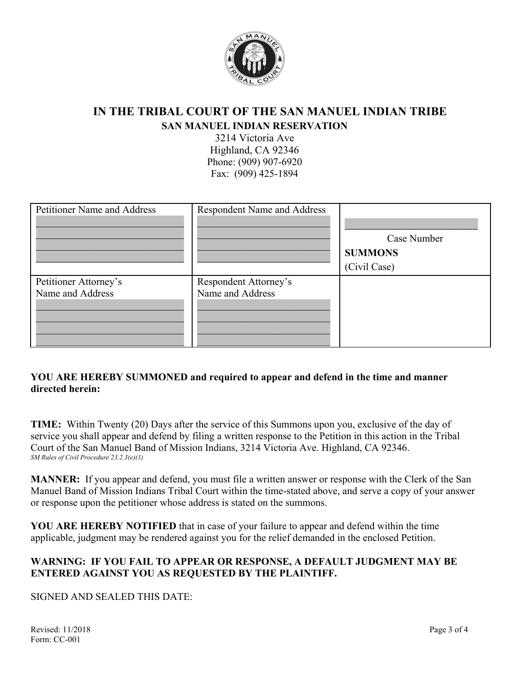

# **IN THE TRIBAL COURT OF THE SAN MANUEL INDIAN TRIBE SAN MANUEL INDIAN RESERVATION**

3214 Victoria Ave Highland, CA 92346 Phone: (909) 907-6920 Fax: (909) 425-1894

| Petitioner Name and Address               | <b>Respondent Name and Address</b>        | Case Number<br><b>SUMMONS</b><br>(Civil Case) |
|-------------------------------------------|-------------------------------------------|-----------------------------------------------|
| Petitioner Attorney's<br>Name and Address | Respondent Attorney's<br>Name and Address |                                               |

## **YOU ARE HEREBY SUMMONED and required to appear and defend in the time and manner directed herein:**

**TIME:** Within Twenty (20) Days after the service of this Summons upon you, exclusive of the day of service you shall appear and defend by filing a written response to the Petition in this action in the Tribal Court of the San Manuel Band of Mission Indians, 3214 Victoria Ave. Highland, CA 92346. *SM Rules of Civil Procedure 23.2.3(e)(1)*

**MANNER:** If you appear and defend, you must file a written answer or response with the Clerk of the San Manuel Band of Mission Indians Tribal Court within the time-stated above, and serve a copy of your answer or response upon the petitioner whose address is stated on the summons.

**YOU ARE HEREBY NOTIFIED** that in case of your failure to appear and defend within the time applicable, judgment may be rendered against you for the relief demanded in the enclosed Petition.

### **WARNING: IF YOU FAIL TO APPEAR OR RESPONSE, A DEFAULT JUDGMENT MAY BE ENTERED AGAINST YOU AS REQUESTED BY THE PLAINTIFF.**

### SIGNED AND SEALED THIS DATE: